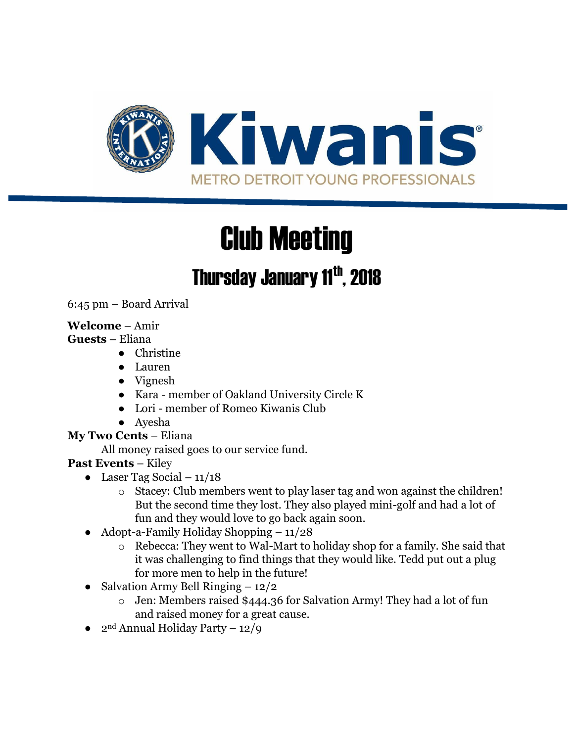

# Club Meeting

# Thursday January 11<sup>th</sup>, 2018

6:45 pm – Board Arrival

#### **Welcome** – Amir

#### **Guests** – Eliana

- Christine
- Lauren
- Vignesh
- Kara member of Oakland University Circle K
- Lori member of Romeo Kiwanis Club
- Ayesha

## **My Two Cents** – Eliana

All money raised goes to our service fund.

## **Past Events** – Kiley

- Laser Tag Social  $11/18$ 
	- o Stacey: Club members went to play laser tag and won against the children! But the second time they lost. They also played mini-golf and had a lot of fun and they would love to go back again soon.
- Adopt-a-Family Holiday Shopping  $-11/28$ 
	- o Rebecca: They went to Wal-Mart to holiday shop for a family. She said that it was challenging to find things that they would like. Tedd put out a plug for more men to help in the future!
- Salvation Army Bell Ringing  $-12/2$ 
	- o Jen: Members raised \$444.36 for Salvation Army! They had a lot of fun and raised money for a great cause.
- $2<sup>nd</sup>$  Annual Holiday Party 12/9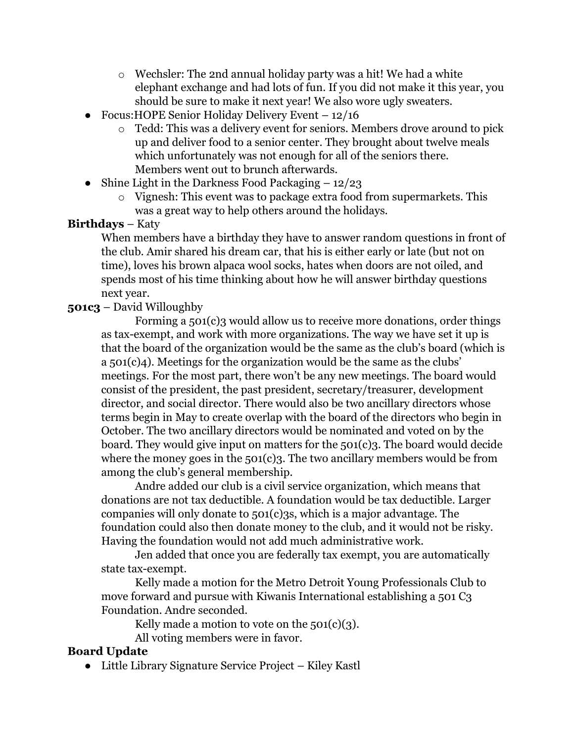- o Wechsler: The 2nd annual holiday party was a hit! We had a white elephant exchange and had lots of fun. If you did not make it this year, you should be sure to make it next year! We also wore ugly sweaters.
- Focus: HOPE Senior Holiday Delivery Event 12/16
	- o Tedd: This was a delivery event for seniors. Members drove around to pick up and deliver food to a senior center. They brought about twelve meals which unfortunately was not enough for all of the seniors there. Members went out to brunch afterwards.
- Shine Light in the Darkness Food Packaging  $-12/23$ 
	- o Vignesh: This event was to package extra food from supermarkets. This was a great way to help others around the holidays.

#### **Birthdays** – Katy

When members have a birthday they have to answer random questions in front of the club. Amir shared his dream car, that his is either early or late (but not on time), loves his brown alpaca wool socks, hates when doors are not oiled, and spends most of his time thinking about how he will answer birthday questions next year.

#### **501c3** – David Willoughby

Forming a 501(c)3 would allow us to receive more donations, order things as tax-exempt, and work with more organizations. The way we have set it up is that the board of the organization would be the same as the club's board (which is a 501(c)4). Meetings for the organization would be the same as the clubs' meetings. For the most part, there won't be any new meetings. The board would consist of the president, the past president, secretary/treasurer, development director, and social director. There would also be two ancillary directors whose terms begin in May to create overlap with the board of the directors who begin in October. The two ancillary directors would be nominated and voted on by the board. They would give input on matters for the 501(c)3. The board would decide where the money goes in the  $501(c)$ 3. The two ancillary members would be from among the club's general membership.

Andre added our club is a civil service organization, which means that donations are not tax deductible. A foundation would be tax deductible. Larger companies will only donate to 501(c)3s, which is a major advantage. The foundation could also then donate money to the club, and it would not be risky. Having the foundation would not add much administrative work.

Jen added that once you are federally tax exempt, you are automatically state tax-exempt.

Kelly made a motion for the Metro Detroit Young Professionals Club to move forward and pursue with Kiwanis International establishing a 501 C3 Foundation. Andre seconded.

Kelly made a motion to vote on the  $501(c)(3)$ .

All voting members were in favor.

#### **Board Update**

● Little Library Signature Service Project – Kiley Kastl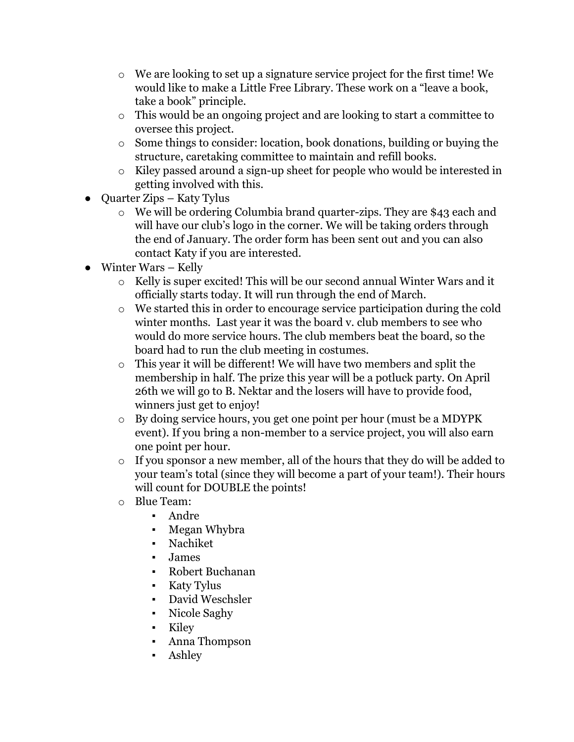- o We are looking to set up a signature service project for the first time! We would like to make a Little Free Library. These work on a "leave a book, take a book" principle.
- o This would be an ongoing project and are looking to start a committee to oversee this project.
- o Some things to consider: location, book donations, building or buying the structure, caretaking committee to maintain and refill books.
- o Kiley passed around a sign-up sheet for people who would be interested in getting involved with this.
- Quarter Zips Katy Tylus
	- o We will be ordering Columbia brand quarter-zips. They are \$43 each and will have our club's logo in the corner. We will be taking orders through the end of January. The order form has been sent out and you can also contact Katy if you are interested.
- Winter Wars Kelly
	- o Kelly is super excited! This will be our second annual Winter Wars and it officially starts today. It will run through the end of March.
	- o We started this in order to encourage service participation during the cold winter months. Last year it was the board v. club members to see who would do more service hours. The club members beat the board, so the board had to run the club meeting in costumes.
	- o This year it will be different! We will have two members and split the membership in half. The prize this year will be a potluck party. On April 26th we will go to B. Nektar and the losers will have to provide food, winners just get to enjoy!
	- o By doing service hours, you get one point per hour (must be a MDYPK event). If you bring a non-member to a service project, you will also earn one point per hour.
	- o If you sponsor a new member, all of the hours that they do will be added to your team's total (since they will become a part of your team!). Their hours will count for DOUBLE the points!
	- o Blue Team:
		- Andre
		- Megan Whybra
		- **Nachiket**
		- James
		- Robert Buchanan
		- Katy Tylus
		- David Weschsler
		- Nicole Saghy
		- **Kiley**
		- Anna Thompson
		- **Ashley**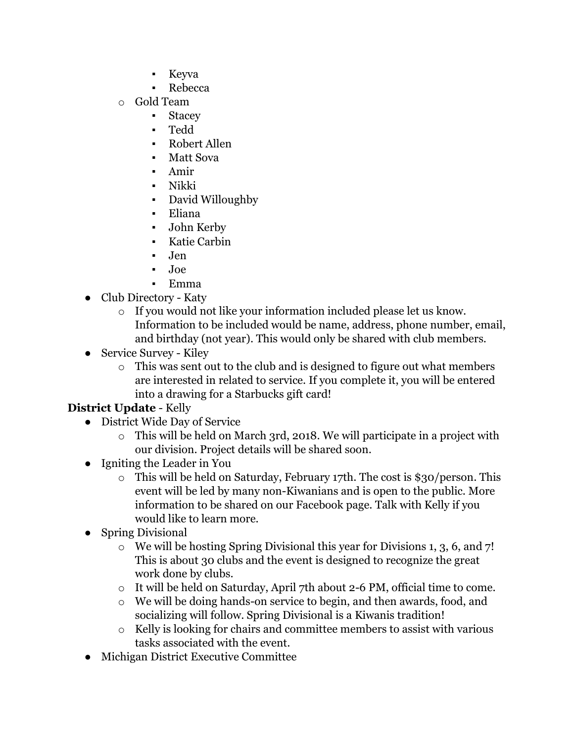- Keyva
	- **Rebecca**
- o Gold Team
	- Stacey
	- Tedd
	- Robert Allen
	- Matt Sova
	- Amir
	- Nikki
	- David Willoughby
	- Eliana
	- John Kerby
	- Katie Carbin
	- Jen
	- Joe
	- Emma
- Club Directory Katy
	- o If you would not like your information included please let us know. Information to be included would be name, address, phone number, email, and birthday (not year). This would only be shared with club members.
- Service Survey Kiley
	- o This was sent out to the club and is designed to figure out what members are interested in related to service. If you complete it, you will be entered into a drawing for a Starbucks gift card!

# **District Update** - Kelly

- District Wide Day of Service
	- o This will be held on March 3rd, 2018. We will participate in a project with our division. Project details will be shared soon.
- Igniting the Leader in You
	- o This will be held on Saturday, February 17th. The cost is \$30/person. This event will be led by many non-Kiwanians and is open to the public. More information to be shared on our Facebook page. Talk with Kelly if you would like to learn more.
- Spring Divisional
	- o We will be hosting Spring Divisional this year for Divisions 1, 3, 6, and 7! This is about 30 clubs and the event is designed to recognize the great work done by clubs.
	- o It will be held on Saturday, April 7th about 2-6 PM, official time to come.
	- o We will be doing hands-on service to begin, and then awards, food, and socializing will follow. Spring Divisional is a Kiwanis tradition!
	- o Kelly is looking for chairs and committee members to assist with various tasks associated with the event.
- Michigan District Executive Committee